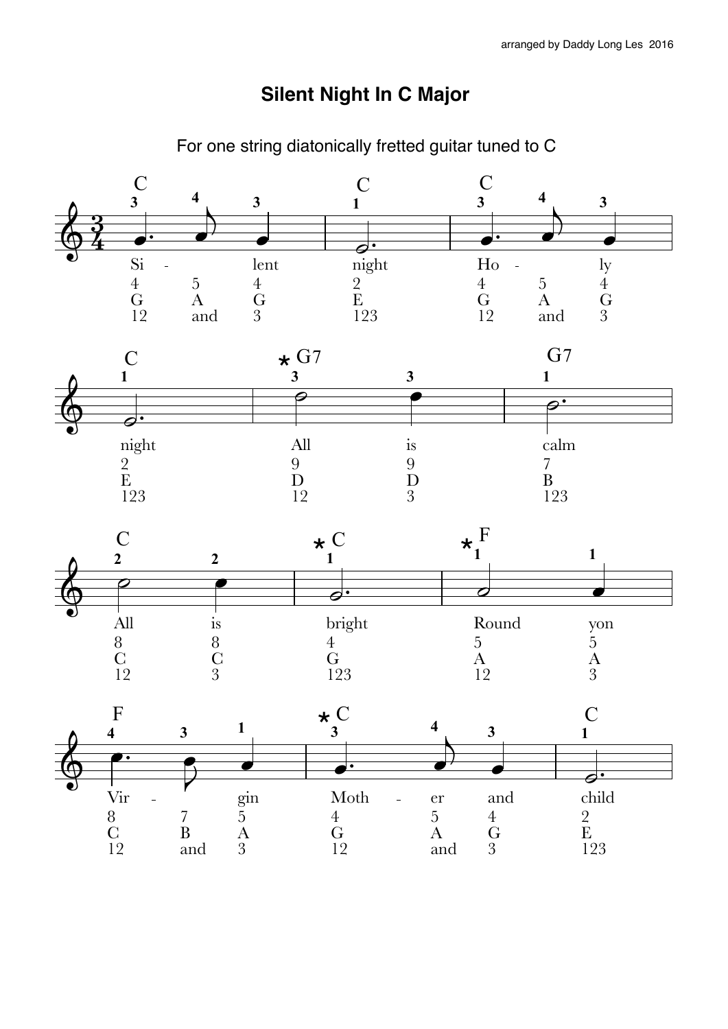## **Silent Night In C Major**

For one string diatonically fretted guitar tuned to C